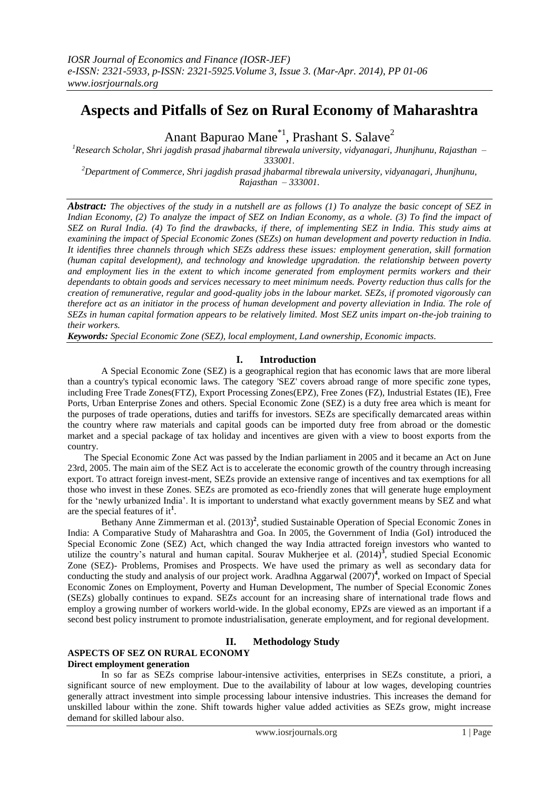# **Aspects and Pitfalls of Sez on Rural Economy of Maharashtra**

Anant Bapurao Mane<sup>\*1</sup>, Prashant S. Salave<sup>2</sup>

*<sup>1</sup>Research Scholar, Shri jagdish prasad jhabarmal tibrewala university, vidyanagari, Jhunjhunu, Rajasthan – 333001.*

*<sup>2</sup>Department of Commerce, Shri jagdish prasad jhabarmal tibrewala university, vidyanagari, Jhunjhunu, Rajasthan – 333001.*

*Abstract: The objectives of the study in a nutshell are as follows (1) To analyze the basic concept of SEZ in Indian Economy, (2) To analyze the impact of SEZ on Indian Economy, as a whole. (3) To find the impact of SEZ on Rural India. (4) To find the drawbacks, if there, of implementing SEZ in India. This study aims at examining the impact of Special Economic Zones (SEZs) on human development and poverty reduction in India. It identifies three channels through which SEZs address these issues: employment generation, skill formation (human capital development), and technology and knowledge upgradation. the relationship between poverty and employment lies in the extent to which income generated from employment permits workers and their dependants to obtain goods and services necessary to meet minimum needs. Poverty reduction thus calls for the creation of remunerative, regular and good-quality jobs in the labour market. SEZs, if promoted vigorously can therefore act as an initiator in the process of human development and poverty alleviation in India. The role of SEZs in human capital formation appears to be relatively limited. Most SEZ units impart on-the-job training to their workers.*

*Keywords: Special Economic Zone (SEZ), local employment, Land ownership, Economic impacts.*

# **I. Introduction**

A Special Economic Zone (SEZ) is a geographical region that has economic laws that are more liberal than a country's typical economic laws. The category 'SEZ' covers abroad range of more specific zone types, including Free Trade Zones(FTZ), Export Processing Zones(EPZ), Free Zones (FZ), Industrial Estates (IE), Free Ports, Urban Enterprise Zones and others. Special Economic Zone (SEZ) is a duty free area which is meant for the purposes of trade operations, duties and tariffs for investors. SEZs are specifically demarcated areas within the country where raw materials and capital goods can be imported duty free from abroad or the domestic market and a special package of tax holiday and incentives are given with a view to boost exports from the country.

 The Special Economic Zone Act was passed by the Indian parliament in 2005 and it became an Act on June 23rd, 2005. The main aim of the SEZ Act is to accelerate the economic growth of the country through increasing export. To attract foreign invest-ment, SEZs provide an extensive range of incentives and tax exemptions for all those who invest in these Zones. SEZs are promoted as eco-friendly zones that will generate huge employment for the 'newly urbanized India'. It is important to understand what exactly government means by SEZ and what are the special features of it**<sup>1</sup>** .

Bethany Anne Zimmerman et al. (2013)<sup>2</sup>, studied Sustainable Operation of Special Economic Zones in India: A Comparative Study of Maharashtra and Goa. In 2005, the Government of India (GoI) introduced the Special Economic Zone (SEZ) Act, which changed the way India attracted foreign investors who wanted to utilize the country's natural and human capital. Sourav Mukherjee et al.  $(2014)^3$ , studied Special Economic Zone (SEZ)- Problems, Promises and Prospects. We have used the primary as well as secondary data for conducting the study and analysis of our project work. Aradhna Aggarwal (2007)**<sup>4</sup>** , worked on Impact of Special Economic Zones on Employment, Poverty and Human Development, The number of Special Economic Zones (SEZs) globally continues to expand. SEZs account for an increasing share of international trade flows and employ a growing number of workers world-wide. In the global economy, EPZs are viewed as an important if a second best policy instrument to promote industrialisation, generate employment, and for regional development.

# **II. Methodology Study**

## **ASPECTS OF SEZ ON RURAL ECONOMY Direct employment generation**

In so far as SEZs comprise labour-intensive activities, enterprises in SEZs constitute, a priori, a significant source of new employment. Due to the availability of labour at low wages, developing countries generally attract investment into simple processing labour intensive industries. This increases the demand for unskilled labour within the zone. Shift towards higher value added activities as SEZs grow, might increase demand for skilled labour also.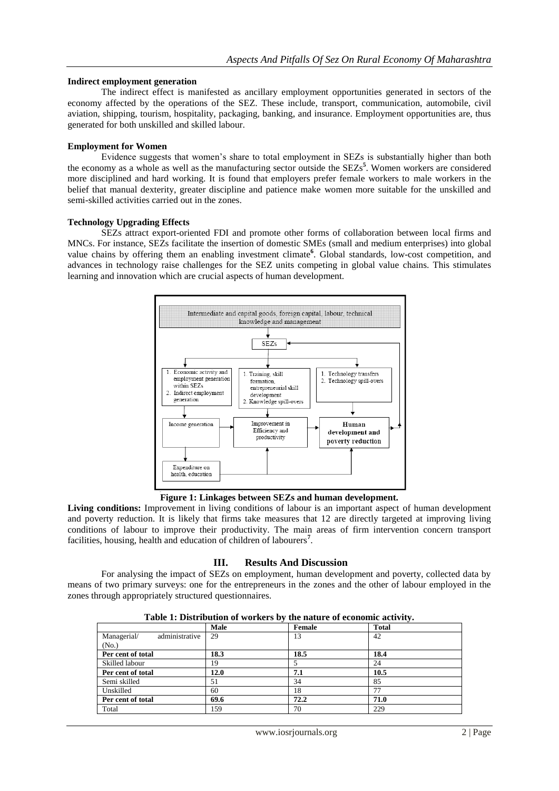#### **Indirect employment generation**

The indirect effect is manifested as ancillary employment opportunities generated in sectors of the economy affected by the operations of the SEZ. These include, transport, communication, automobile, civil aviation, shipping, tourism, hospitality, packaging, banking, and insurance. Employment opportunities are, thus generated for both unskilled and skilled labour.

## **Employment for Women**

Evidence suggests that women's share to total employment in SEZs is substantially higher than both the economy as a whole as well as the manufacturing sector outside the SEZs<sup>5</sup>. Women workers are considered more disciplined and hard working. It is found that employers prefer female workers to male workers in the belief that manual dexterity, greater discipline and patience make women more suitable for the unskilled and semi-skilled activities carried out in the zones.

#### **Technology Upgrading Effects**

SEZs attract export-oriented FDI and promote other forms of collaboration between local firms and MNCs. For instance, SEZs facilitate the insertion of domestic SMEs (small and medium enterprises) into global value chains by offering them an enabling investment climate<sup>6</sup>. Global standards, low-cost competition, and advances in technology raise challenges for the SEZ units competing in global value chains. This stimulates learning and innovation which are crucial aspects of human development.



**Figure 1: Linkages between SEZs and human development.**

Living conditions: Improvement in living conditions of labour is an important aspect of human development and poverty reduction. It is likely that firms take measures that 12 are directly targeted at improving living conditions of labour to improve their productivity. The main areas of firm intervention concern transport facilities, housing, health and education of children of labourers**<sup>7</sup>** .

# **III. Results And Discussion**

For analysing the impact of SEZs on employment, human development and poverty, collected data by means of two primary surveys: one for the entrepreneurs in the zones and the other of labour employed in the zones through appropriately structured questionnaires.

|                               | <b>Male</b> | Female | <b>Total</b> |  |
|-------------------------------|-------------|--------|--------------|--|
| administrative<br>Managerial/ | 29          | 13     | 42           |  |
| (No.)                         |             |        |              |  |
| Per cent of total             | 18.3        | 18.5   | 18.4         |  |
| Skilled labour                | 19          |        | 24           |  |
| Per cent of total             | 12.0        | 7.1    | 10.5         |  |
| Semi skilled                  | 51          | 34     | 85           |  |
| Unskilled                     | 60          | 18     | 77           |  |
| Per cent of total             | 69.6        | 72.2   | 71.0         |  |
| Total                         | 159         | 70     | 229          |  |
|                               |             |        |              |  |

**Table 1: Distribution of workers by the nature of economic activity.**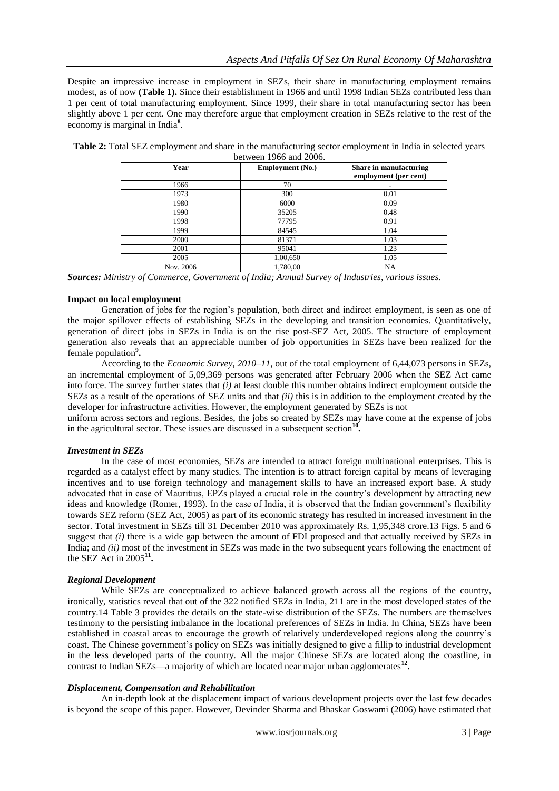Despite an impressive increase in employment in SEZs, their share in manufacturing employment remains modest, as of now **(Table 1).** Since their establishment in 1966 and until 1998 Indian SEZs contributed less than 1 per cent of total manufacturing employment. Since 1999, their share in total manufacturing sector has been slightly above 1 per cent. One may therefore argue that employment creation in SEZs relative to the rest of the economy is marginal in India**<sup>8</sup>** .

| Year      | <b>Employment</b> (No.) | <b>Share in manufacturing</b><br>employment (per cent) |
|-----------|-------------------------|--------------------------------------------------------|
| 1966      | 70                      |                                                        |
| 1973      | 300                     | 0.01                                                   |
| 1980      | 6000                    | 0.09                                                   |
| 1990      | 35205                   | 0.48                                                   |
| 1998      | 77795                   | 0.91                                                   |
| 1999      | 84545                   | 1.04                                                   |
| 2000      | 81371                   | 1.03                                                   |
| 2001      | 95041                   | 1.23                                                   |
| 2005      | 1,00,650                | 1.05                                                   |
| Nov. 2006 | 1,780,00                | NA                                                     |

**Table 2:** Total SEZ employment and share in the manufacturing sector employment in India in selected years between 1966 and 2006.

*Sources: Ministry of Commerce, Government of India; Annual Survey of Industries, various issues.*

## **Impact on local employment**

Generation of jobs for the region's population, both direct and indirect employment, is seen as one of the major spillover effects of establishing SEZs in the developing and transition economies. Quantitatively, generation of direct jobs in SEZs in India is on the rise post-SEZ Act, 2005. The structure of employment generation also reveals that an appreciable number of job opportunities in SEZs have been realized for the female population<sup>9</sup>.

According to the *Economic Survey, 2010–11*, out of the total employment of 6,44,073 persons in SEZs, an incremental employment of 5,09,369 persons was generated after February 2006 when the SEZ Act came into force. The survey further states that *(i)* at least double this number obtains indirect employment outside the SEZs as a result of the operations of SEZ units and that *(ii)* this is in addition to the employment created by the developer for infrastructure activities. However, the employment generated by SEZs is not

uniform across sectors and regions. Besides, the jobs so created by SEZs may have come at the expense of jobs in the agricultural sector. These issues are discussed in a subsequent section<sup>10</sup>.

# *Investment in SEZs*

In the case of most economies, SEZs are intended to attract foreign multinational enterprises. This is regarded as a catalyst effect by many studies. The intention is to attract foreign capital by means of leveraging incentives and to use foreign technology and management skills to have an increased export base. A study advocated that in case of Mauritius, EPZs played a crucial role in the country's development by attracting new ideas and knowledge (Romer, 1993). In the case of India, it is observed that the Indian government's flexibility towards SEZ reform (SEZ Act, 2005) as part of its economic strategy has resulted in increased investment in the sector. Total investment in SEZs till 31 December 2010 was approximately Rs. 1,95,348 crore.13 Figs. 5 and 6 suggest that *(i)* there is a wide gap between the amount of FDI proposed and that actually received by SEZs in India; and *(ii)* most of the investment in SEZs was made in the two subsequent years following the enactment of the SEZ Act in 2005**<sup>11</sup> .**

# *Regional Development*

While SEZs are conceptualized to achieve balanced growth across all the regions of the country, ironically, statistics reveal that out of the 322 notified SEZs in India, 211 are in the most developed states of the country.14 Table 3 provides the details on the state-wise distribution of the SEZs. The numbers are themselves testimony to the persisting imbalance in the locational preferences of SEZs in India. In China, SEZs have been established in coastal areas to encourage the growth of relatively underdeveloped regions along the country's coast. The Chinese government's policy on SEZs was initially designed to give a fillip to industrial development in the less developed parts of the country. All the major Chinese SEZs are located along the coastline, in contrast to Indian SEZs—a majority of which are located near major urban agglomerates<sup>12</sup>.

# *Displacement, Compensation and Rehabilitation*

An in-depth look at the displacement impact of various development projects over the last few decades is beyond the scope of this paper. However, Devinder Sharma and Bhaskar Goswami (2006) have estimated that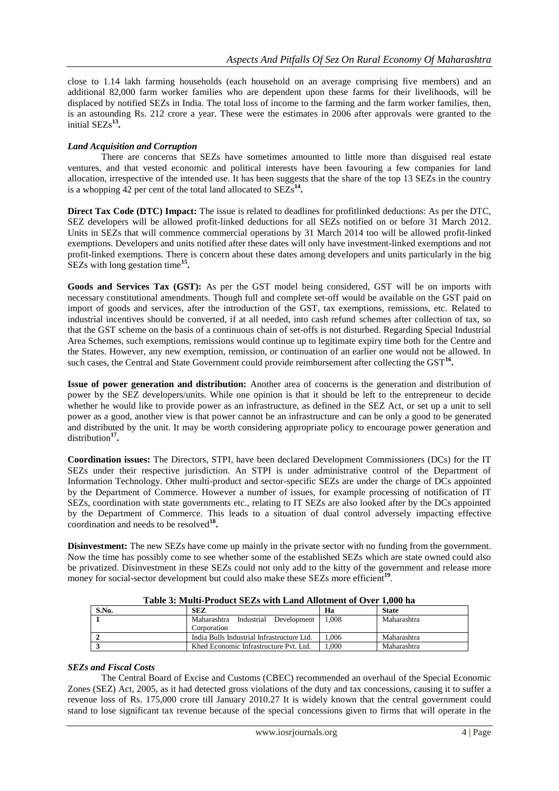close to 1.14 lakh farming households (each household on an average comprising five members) and an additional 82,000 farm worker families who are dependent upon these farms for their livelihoods, will be displaced by notified SEZs in India. The total loss of income to the farming and the farm worker families, then, is an astounding Rs. 212 crore a year. These were the estimates in 2006 after approvals were granted to the initial SEZs**<sup>13</sup> .**

# *Land Acquisition and Corruption*

There are concerns that SEZs have sometimes amounted to little more than disguised real estate ventures, and that vested economic and political interests have been favouring a few companies for land allocation, irrespective of the intended use. It has been suggests that the share of the top 13 SEZs in the country is a whopping 42 per cent of the total land allocated to SEZs**<sup>14</sup> .**

**Direct Tax Code (DTC) Impact:** The issue is related to deadlines for profitlinked deductions: As per the DTC, SEZ developers will be allowed profit-linked deductions for all SEZs notified on or before 31 March 2012. Units in SEZs that will commence commercial operations by 31 March 2014 too will be allowed profit-linked exemptions. Developers and units notified after these dates will only have investment-linked exemptions and not profit-linked exemptions. There is concern about these dates among developers and units particularly in the big SEZs with long gestation time**<sup>15</sup> .**

**Goods and Services Tax (GST):** As per the GST model being considered, GST will be on imports with necessary constitutional amendments. Though full and complete set-off would be available on the GST paid on import of goods and services, after the introduction of the GST, tax exemptions, remissions, etc. Related to industrial incentives should be converted, if at all needed, into cash refund schemes after collection of tax, so that the GST scheme on the basis of a continuous chain of set-offs is not disturbed. Regarding Special Industrial Area Schemes, such exemptions, remissions would continue up to legitimate expiry time both for the Centre and the States. However, any new exemption, remission, or continuation of an earlier one would not be allowed. In such cases, the Central and State Government could provide reimbursement after collecting the GST<sup>16</sup>.

**Issue of power generation and distribution:** Another area of concerns is the generation and distribution of power by the SEZ developers/units. While one opinion is that it should be left to the entrepreneur to decide whether he would like to provide power as an infrastructure, as defined in the SEZ Act, or set up a unit to sell power as a good, another view is that power cannot be an infrastructure and can be only a good to be generated and distributed by the unit. It may be worth considering appropriate policy to encourage power generation and distribution**<sup>17</sup> .**

**Coordination issues:** The Directors, STPI, have been declared Development Commissioners (DCs) for the IT SEZs under their respective jurisdiction. An STPI is under administrative control of the Department of Information Technology. Other multi-product and sector-specific SEZs are under the charge of DCs appointed by the Department of Commerce. However a number of issues, for example processing of notification of IT SEZs, coordination with state governments etc., relating to IT SEZs are also looked after by the DCs appointed by the Department of Commerce. This leads to a situation of dual control adversely impacting effective coordination and needs to be resolved**<sup>18</sup> .**

**Disinvestment:** The new SEZs have come up mainly in the private sector with no funding from the government. Now the time has possibly come to see whether some of the established SEZs which are state owned could also be privatized. Disinvestment in these SEZs could not only add to the kitty of the government and release more money for social-sector development but could also make these SEZs more efficient<sup>19</sup>.

| TAMIC OF MIAIN THUAACCOLLO WINI LAMA MIDDINGIICH OF O FCL TIOUU MA |                                                   |      |              |  |  |
|--------------------------------------------------------------------|---------------------------------------------------|------|--------------|--|--|
| S.No.                                                              | SEZ                                               | Ha   | <b>State</b> |  |  |
|                                                                    | Maharashtra Industrial Development<br>Corporation | .008 | Maharashtra  |  |  |
|                                                                    | India Bulls Industrial Infrastructure Ltd.        | .006 | Maharashtra  |  |  |
|                                                                    | Khed Economic Infrastructure Pvt. Ltd.            | .000 | Maharashtra  |  |  |

**Table 3: Multi-Product SEZs with Land Allotment of Over 1,000 ha**

## *SEZs and Fiscal Costs*

The Central Board of Excise and Customs (CBEC) recommended an overhaul of the Special Economic Zones (SEZ) Act, 2005, as it had detected gross violations of the duty and tax concessions, causing it to suffer a revenue loss of Rs. 175,000 crore till January 2010.27 It is widely known that the central government could stand to lose significant tax revenue because of the special concessions given to firms that will operate in the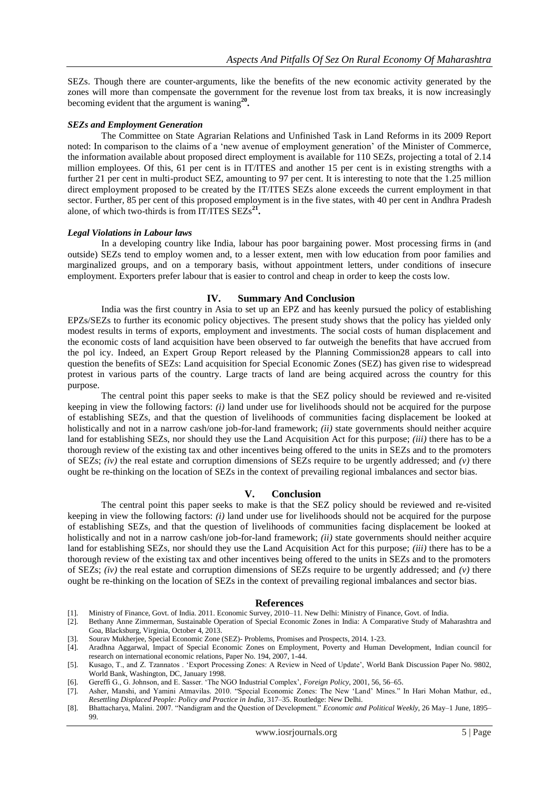SEZs. Though there are counter-arguments, like the benefits of the new economic activity generated by the zones will more than compensate the government for the revenue lost from tax breaks, it is now increasingly becoming evident that the argument is waning**<sup>20</sup> .**

#### *SEZs and Employment Generation*

The Committee on State Agrarian Relations and Unfinished Task in Land Reforms in its 2009 Report noted: In comparison to the claims of a 'new avenue of employment generation' of the Minister of Commerce, the information available about proposed direct employment is available for 110 SEZs, projecting a total of 2.14 million employees. Of this, 61 per cent is in IT/ITES and another 15 per cent is in existing strengths with a further 21 per cent in multi-product SEZ, amounting to 97 per cent. It is interesting to note that the 1.25 million direct employment proposed to be created by the IT/ITES SEZs alone exceeds the current employment in that sector. Further, 85 per cent of this proposed employment is in the five states, with 40 per cent in Andhra Pradesh alone, of which two-thirds is from IT/ITES SEZs**<sup>21</sup> .**

#### *Legal Violations in Labour laws*

In a developing country like India, labour has poor bargaining power. Most processing firms in (and outside) SEZs tend to employ women and, to a lesser extent, men with low education from poor families and marginalized groups, and on a temporary basis, without appointment letters, under conditions of insecure employment. Exporters prefer labour that is easier to control and cheap in order to keep the costs low.

#### **IV. Summary And Conclusion**

India was the first country in Asia to set up an EPZ and has keenly pursued the policy of establishing EPZs/SEZs to further its economic policy objectives. The present study shows that the policy has yielded only modest results in terms of exports, employment and investments. The social costs of human displacement and the economic costs of land acquisition have been observed to far outweigh the benefits that have accrued from the pol icy. Indeed, an Expert Group Report released by the Planning Commission28 appears to call into question the benefits of SEZs: Land acquisition for Special Economic Zones (SEZ) has given rise to widespread protest in various parts of the country. Large tracts of land are being acquired across the country for this purpose.

The central point this paper seeks to make is that the SEZ policy should be reviewed and re-visited keeping in view the following factors: *(i)* land under use for livelihoods should not be acquired for the purpose of establishing SEZs, and that the question of livelihoods of communities facing displacement be looked at holistically and not in a narrow cash/one job-for-land framework; *(ii)* state governments should neither acquire land for establishing SEZs, nor should they use the Land Acquisition Act for this purpose; *(iii)* there has to be a thorough review of the existing tax and other incentives being offered to the units in SEZs and to the promoters of SEZs;  $(iv)$  the real estate and corruption dimensions of SEZs require to be urgently addressed; and  $(v)$  there ought be re-thinking on the location of SEZs in the context of prevailing regional imbalances and sector bias.

#### **V. Conclusion**

The central point this paper seeks to make is that the SEZ policy should be reviewed and re-visited keeping in view the following factors: *(i)* land under use for livelihoods should not be acquired for the purpose of establishing SEZs, and that the question of livelihoods of communities facing displacement be looked at holistically and not in a narrow cash/one job-for-land framework; *(ii)* state governments should neither acquire land for establishing SEZs, nor should they use the Land Acquisition Act for this purpose; *(iii)* there has to be a thorough review of the existing tax and other incentives being offered to the units in SEZs and to the promoters of SEZs;  $(iv)$  the real estate and corruption dimensions of SEZs require to be urgently addressed; and  $(v)$  there ought be re-thinking on the location of SEZs in the context of prevailing regional imbalances and sector bias.

#### **References**

- [1]. Ministry of Finance, Govt. of India. 2011. Economic Survey, 2010–11. New Delhi: Ministry of Finance, Govt. of India.
- [2]. Bethany Anne Zimmerman, Sustainable Operation of Special Economic Zones in India: A Comparative Study of Maharashtra and Goa, Blacksburg, Virginia, October 4, 2013.
- [3]. Sourav Mukherjee, Special Economic Zone (SEZ)- Problems, Promises and Prospects, 2014. 1-23.
- [4]. Aradhna Aggarwal, Impact of Special Economic Zones on Employment, Poverty and Human Development, Indian council for research on international economic relations, Paper No. 194, 2007, 1-44.
- [5]. Kusago, T., and Z. Tzannatos . ‗Export Processing Zones: A Review in Need of Update', World Bank Discussion Paper No. 9802, World Bank, Washington, DC, January 1998.
- [6]. Gereffi G., G. Johnson, and E. Sasser. ‗The NGO Industrial Complex', *Foreign Policy*, 2001, 56, 56–65.
- [7]. Asher, Manshi, and Yamini Atmavilas. 2010. "Special Economic Zones: The New 'Land' Mines." In Hari Mohan Mathur, ed., *Resettling Displaced People: Policy and Practice in India,* 317–35. Routledge: New Delhi.
- [8]. Bhattacharya, Malini. 2007. "Nandigram and the Question of Development." *Economic and Political Weekly*, 26 May–1 June, 1895– 99.